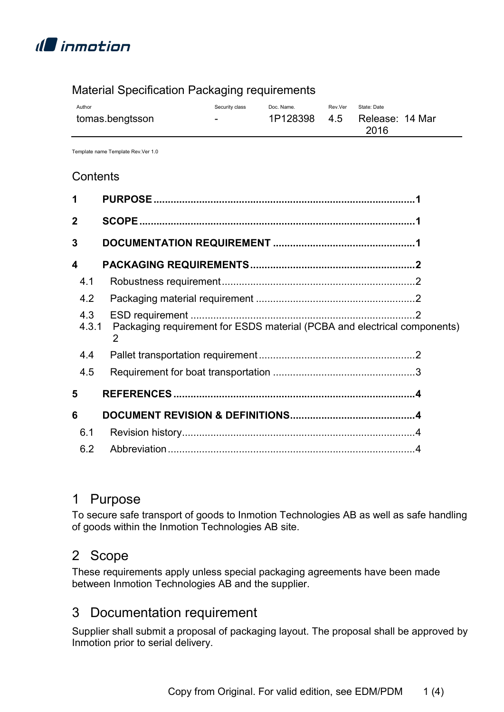

### Material Specification Packaging requirements

| Author          | Security class           | Doc. Name.   | Rev.Ver | State: Date             |
|-----------------|--------------------------|--------------|---------|-------------------------|
| tomas.bengtsson | $\overline{\phantom{0}}$ | 1P128398 4.5 |         | Release: 14 Mar<br>2016 |
|                 |                          |              |         |                         |

Template name Template Rev.Ver 1.0

#### **Contents**

| 1              |              |                                                                               |  |
|----------------|--------------|-------------------------------------------------------------------------------|--|
| $\overline{2}$ |              |                                                                               |  |
| 3              |              |                                                                               |  |
| 4              |              |                                                                               |  |
|                | 4.1          |                                                                               |  |
|                | 4.2          |                                                                               |  |
|                | 4.3<br>4.3.1 | Packaging requirement for ESDS material (PCBA and electrical components)<br>2 |  |
|                | 4.4          |                                                                               |  |
|                | 4.5          |                                                                               |  |
| 5              |              |                                                                               |  |
| 6              |              |                                                                               |  |
|                | 6.1          |                                                                               |  |
|                | 6.2          |                                                                               |  |

## 1 Purpose

To secure safe transport of goods to Inmotion Technologies AB as well as safe handling of goods within the Inmotion Technologies AB site.

# 2 Scope

These requirements apply unless special packaging agreements have been made between Inmotion Technologies AB and the supplier.

# 3 Documentation requirement

Supplier shall submit a proposal of packaging layout. The proposal shall be approved by Inmotion prior to serial delivery.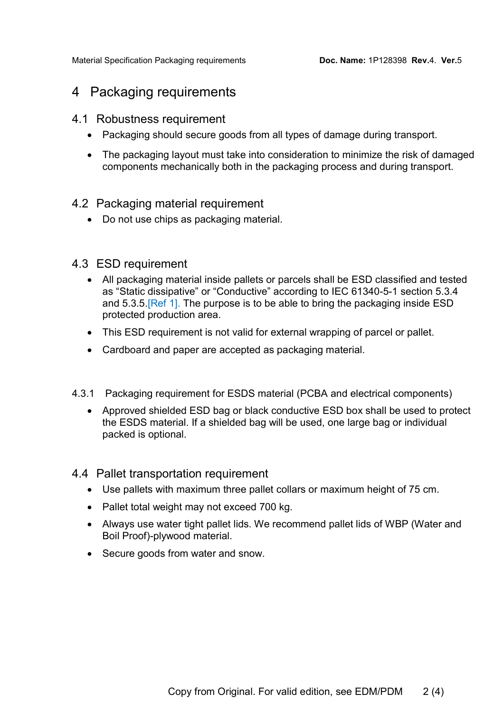## 4 Packaging requirements

#### 4.1 Robustness requirement

- Packaging should secure goods from all types of damage during transport.
- The packaging layout must take into consideration to minimize the risk of damaged components mechanically both in the packaging process and during transport.

#### 4.2 Packaging material requirement

Do not use chips as packaging material.

#### 4.3 ESD requirement

- All packaging material inside pallets or parcels shall be ESD classified and tested as "Static dissipative" or "Conductive" according to IEC 61340-5-1 section 5.3.4 and 5.3.5.[Ref 1]. The purpose is to be able to bring the packaging inside ESD protected production area.
- This ESD requirement is not valid for external wrapping of parcel or pallet.
- Cardboard and paper are accepted as packaging material.
- 4.3.1 Packaging requirement for ESDS material (PCBA and electrical components)
	- Approved shielded ESD bag or black conductive ESD box shall be used to protect the ESDS material. If a shielded bag will be used, one large bag or individual packed is optional.

#### 4.4 Pallet transportation requirement

- Use pallets with maximum three pallet collars or maximum height of 75 cm.
- Pallet total weight may not exceed 700 kg.
- Always use water tight pallet lids. We recommend pallet lids of WBP (Water and Boil Proof)-plywood material.
- Secure goods from water and snow.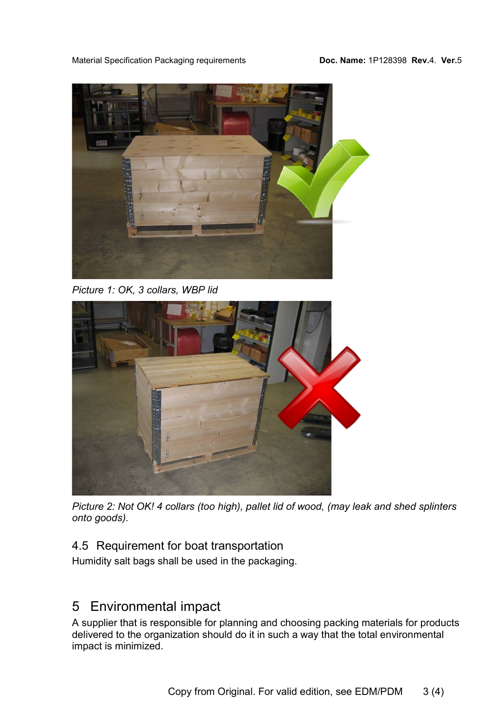Material Specification Packaging requirements **Doc. Name: 1P128398 Rev.4. Ver.5** 



Picture 1: OK, 3 collars, WBP lid



Picture 2: Not OK! 4 collars (too high), pallet lid of wood, (may leak and shed splinters onto goods).

### 4.5 Requirement for boat transportation

Humidity salt bags shall be used in the packaging.

# 5 Environmental impact

A supplier that is responsible for planning and choosing packing materials for products delivered to the organization should do it in such a way that the total environmental impact is minimized.